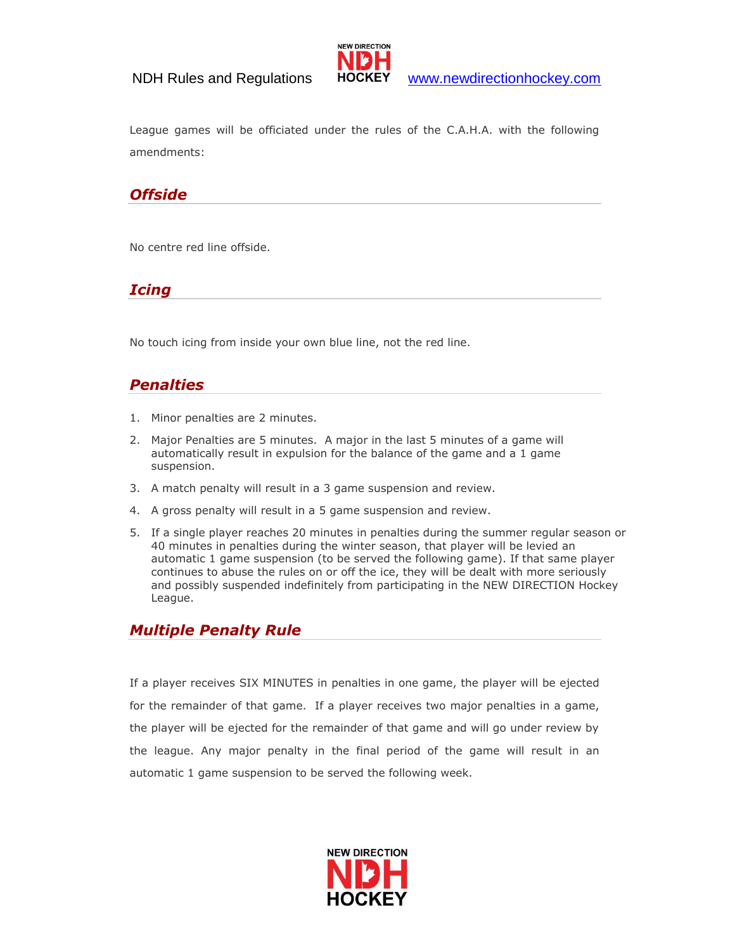

League games will be officiated under the rules of the C.A.H.A. with the following amendments:

## *Offside*

No centre red line offside.

## *Icing*

No touch icing from inside your own blue line, not the red line.

## *Penalties*

- 1. Minor penalties are 2 minutes.
- 2. Major Penalties are 5 minutes. A major in the last 5 minutes of a game will automatically result in expulsion for the balance of the game and a 1 game suspension.
- 3. A match penalty will result in a 3 game suspension and review.
- 4. A gross penalty will result in a 5 game suspension and review.
- 5. If a single player reaches 20 minutes in penalties during the summer regular season or 40 minutes in penalties during the winter season, that player will be levied an automatic 1 game suspension (to be served the following game). If that same player continues to abuse the rules on or off the ice, they will be dealt with more seriously and possibly suspended indefinitely from participating in the NEW DIRECTION Hockey League.

# *Multiple Penalty Rule*

If a player receives SIX MINUTES in penalties in one game, the player will be ejected for the remainder of that game. If a player receives two major penalties in a game, the player will be ejected for the remainder of that game and will go under review by the league. Any major penalty in the final period of the game will result in an automatic 1 game suspension to be served the following week.

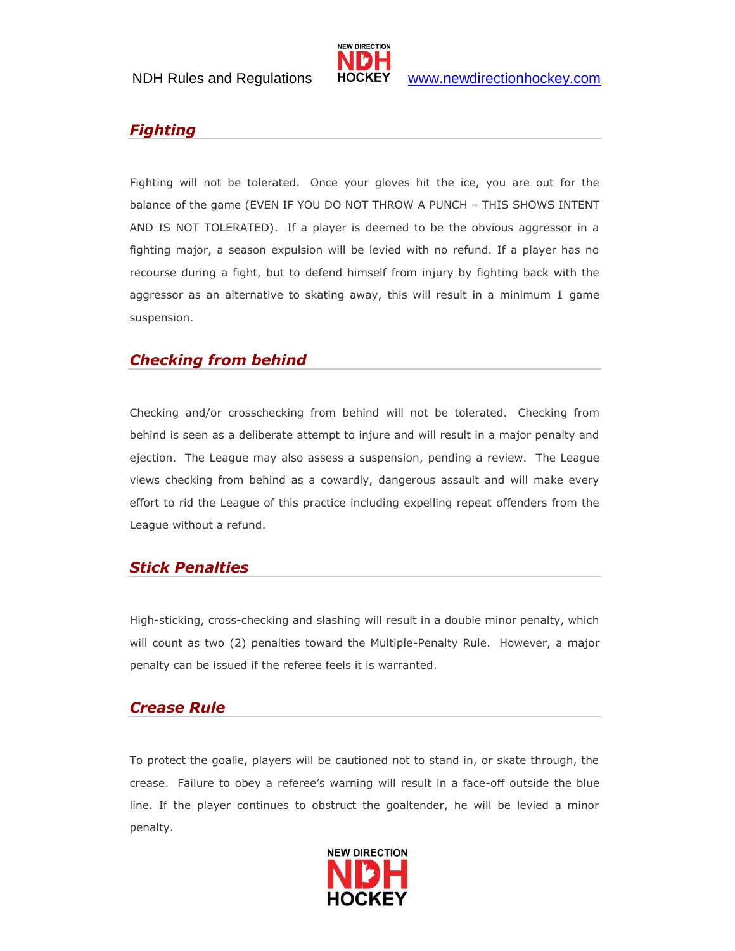

# *Fighting*

Fighting will not be tolerated. Once your gloves hit the ice, you are out for the balance of the game (EVEN IF YOU DO NOT THROW A PUNCH – THIS SHOWS INTENT AND IS NOT TOLERATED). If a player is deemed to be the obvious aggressor in a fighting major, a season expulsion will be levied with no refund. If a player has no recourse during a fight, but to defend himself from injury by fighting back with the aggressor as an alternative to skating away, this will result in a minimum 1 game suspension.

## *Checking from behind*

Checking and/or crosschecking from behind will not be tolerated. Checking from behind is seen as a deliberate attempt to injure and will result in a major penalty and ejection. The League may also assess a suspension, pending a review. The League views checking from behind as a cowardly, dangerous assault and will make every effort to rid the League of this practice including expelling repeat offenders from the League without a refund.

# *Stick Penalties*

High-sticking, cross-checking and slashing will result in a double minor penalty, which will count as two (2) penalties toward the Multiple-Penalty Rule. However, a major penalty can be issued if the referee feels it is warranted.

#### *Crease Rule*

To protect the goalie, players will be cautioned not to stand in, or skate through, the crease. Failure to obey a referee's warning will result in a face-off outside the blue line. If the player continues to obstruct the goaltender, he will be levied a minor penalty.

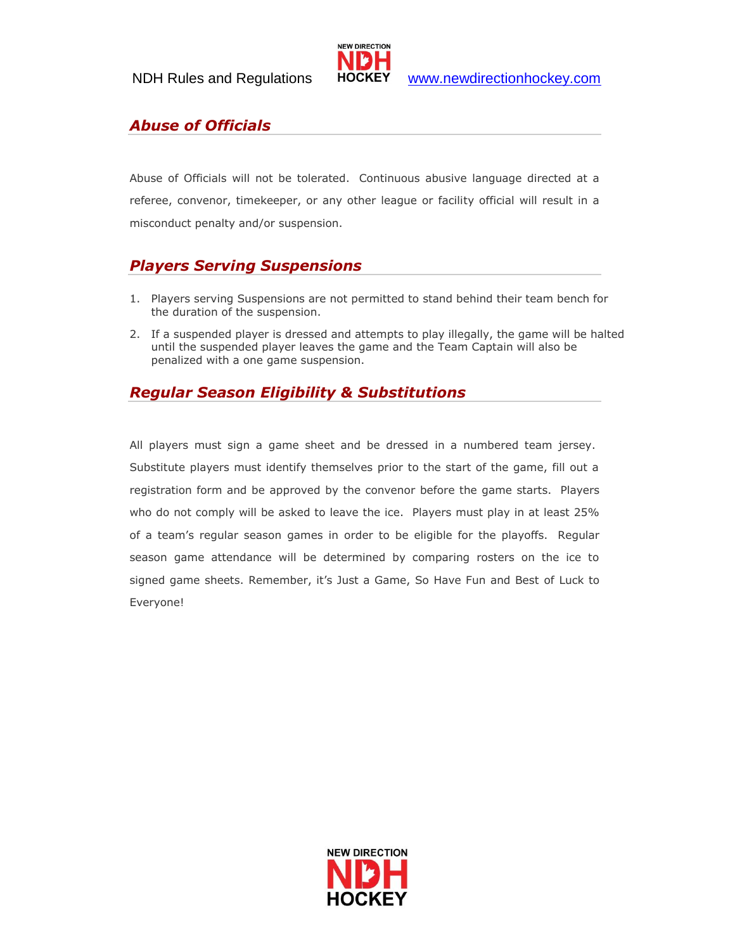

# *Abuse of Officials*

Abuse of Officials will not be tolerated. Continuous abusive language directed at a referee, convenor, timekeeper, or any other league or facility official will result in a misconduct penalty and/or suspension.

# *Players Serving Suspensions*

- 1. Players serving Suspensions are not permitted to stand behind their team bench for the duration of the suspension.
- 2. If a suspended player is dressed and attempts to play illegally, the game will be halted until the suspended player leaves the game and the Team Captain will also be penalized with a one game suspension.

# *Regular Season Eligibility & Substitutions*

All players must sign a game sheet and be dressed in a numbered team jersey. Substitute players must identify themselves prior to the start of the game, fill out a registration form and be approved by the convenor before the game starts. Players who do not comply will be asked to leave the ice. Players must play in at least 25% of a team's regular season games in order to be eligible for the playoffs. Regular season game attendance will be determined by comparing rosters on the ice to signed game sheets. Remember, it's Just a Game, So Have Fun and Best of Luck to Everyone!

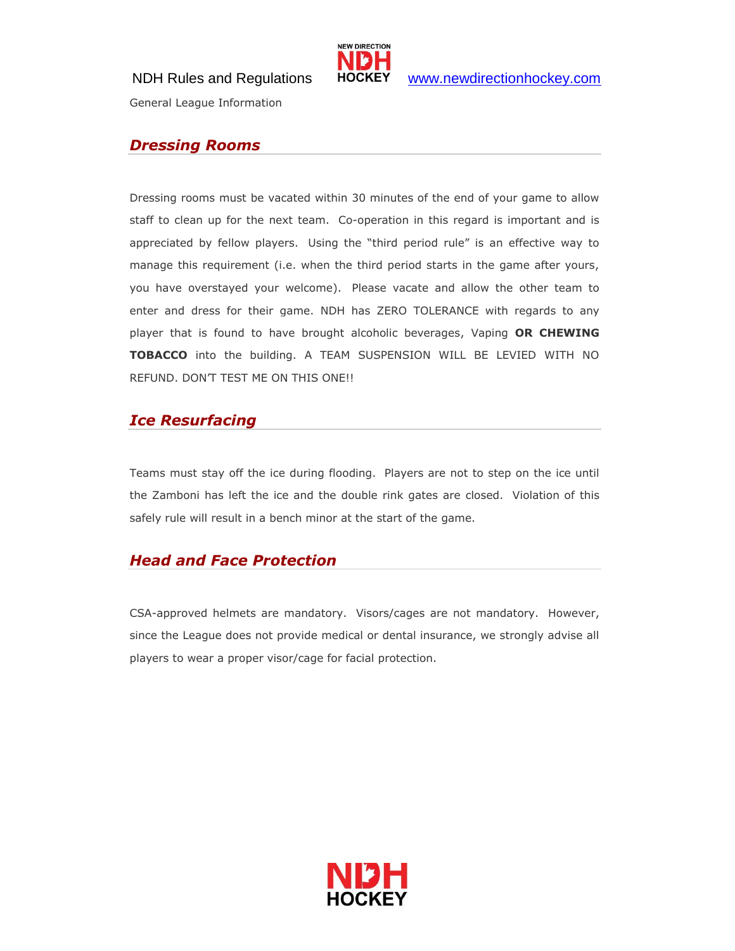

NDH Rules and Regulations HOCKEY [www.newdirectionhockey.com](http://www.newdirectionhockey.com/)

General League Information

#### *Dressing Rooms*

Dressing rooms must be vacated within 30 minutes of the end of your game to allow staff to clean up for the next team. Co-operation in this regard is important and is appreciated by fellow players. Using the "third period rule" is an effective way to manage this requirement (i.e. when the third period starts in the game after yours, you have overstayed your welcome). Please vacate and allow the other team to enter and dress for their game. NDH has ZERO TOLERANCE with regards to any player that is found to have brought alcoholic beverages, Vaping **OR CHEWING TOBACCO** into the building. A TEAM SUSPENSION WILL BE LEVIED WITH NO REFUND. DON'T TEST ME ON THIS ONE!!

## *Ice Resurfacing*

Teams must stay off the ice during flooding. Players are not to step on the ice until the Zamboni has left the ice and the double rink gates are closed. Violation of this safely rule will result in a bench minor at the start of the game.

#### *Head and Face Protection*

CSA-approved helmets are mandatory. Visors/cages are not mandatory. However, since the League does not provide medical or dental insurance, we strongly advise all players to wear a proper visor/cage for facial protection.

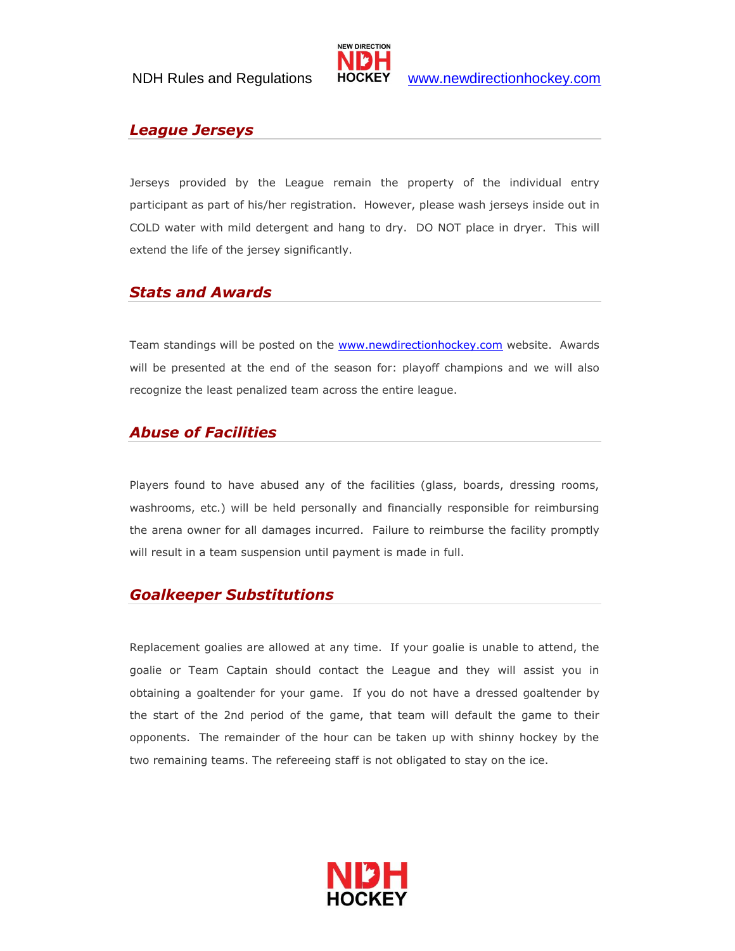

# *League Jerseys*

Jerseys provided by the League remain the property of the individual entry participant as part of his/her registration. However, please wash jerseys inside out in COLD water with mild detergent and hang to dry. DO NOT place in dryer. This will extend the life of the jersey significantly.

#### *Stats and Awards*

Team standings will be posted on the **www.newdirectionhockey.com** website. Awards will be presented at the end of the season for: playoff champions and we will also recognize the least penalized team across the entire league.

## *Abuse of Facilities*

Players found to have abused any of the facilities (glass, boards, dressing rooms, washrooms, etc.) will be held personally and financially responsible for reimbursing the arena owner for all damages incurred. Failure to reimburse the facility promptly will result in a team suspension until payment is made in full.

#### *Goalkeeper Substitutions*

Replacement goalies are allowed at any time. If your goalie is unable to attend, the goalie or Team Captain should contact the League and they will assist you in obtaining a goaltender for your game. If you do not have a dressed goaltender by the start of the 2nd period of the game, that team will default the game to their opponents. The remainder of the hour can be taken up with shinny hockey by the two remaining teams. The refereeing staff is not obligated to stay on the ice.